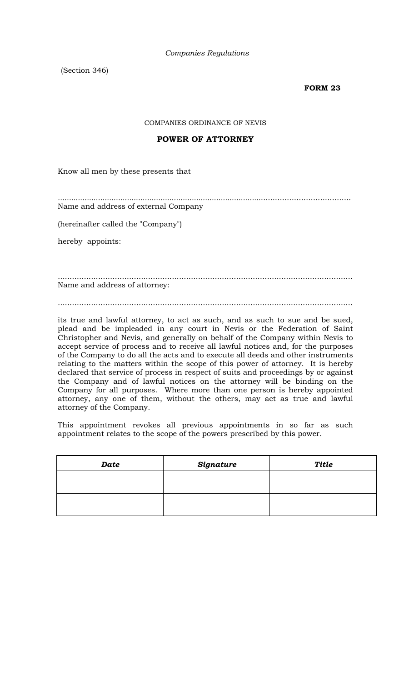(Section 346)

#### **FORM 23**

COMPANIES ORDINANCE OF NEVIS

#### **POWER OF ATTORNEY**

Know all men by these presents that

*...........................................................................................*...................................... Name and address of external Company

(hereinafter called the "Company")

hereby appoints:

............................................................................................................................ Name and address of attorney:

............................................................................................................................

its true and lawful attorney, to act as such, and as such to sue and be sued, plead and be impleaded in any court in Nevis or the Federation of Saint Christopher and Nevis, and generally on behalf of the Company within Nevis to accept service of process and to receive all lawful notices and, for the purposes of the Company to do all the acts and to execute all deeds and other instruments relating to the matters within the scope of this power of attorney. It is hereby declared that service of process in respect of suits and proceedings by or against the Company and of lawful notices on the attorney will be binding on the Company for all purposes. Where more than one person is hereby appointed attorney, any one of them, without the others, may act as true and lawful attorney of the Company.

This appointment revokes all previous appointments in so far as such appointment relates to the scope of the powers prescribed by this power.

| Date | Signature | <b>Title</b> |
|------|-----------|--------------|
|      |           |              |
|      |           |              |
|      |           |              |